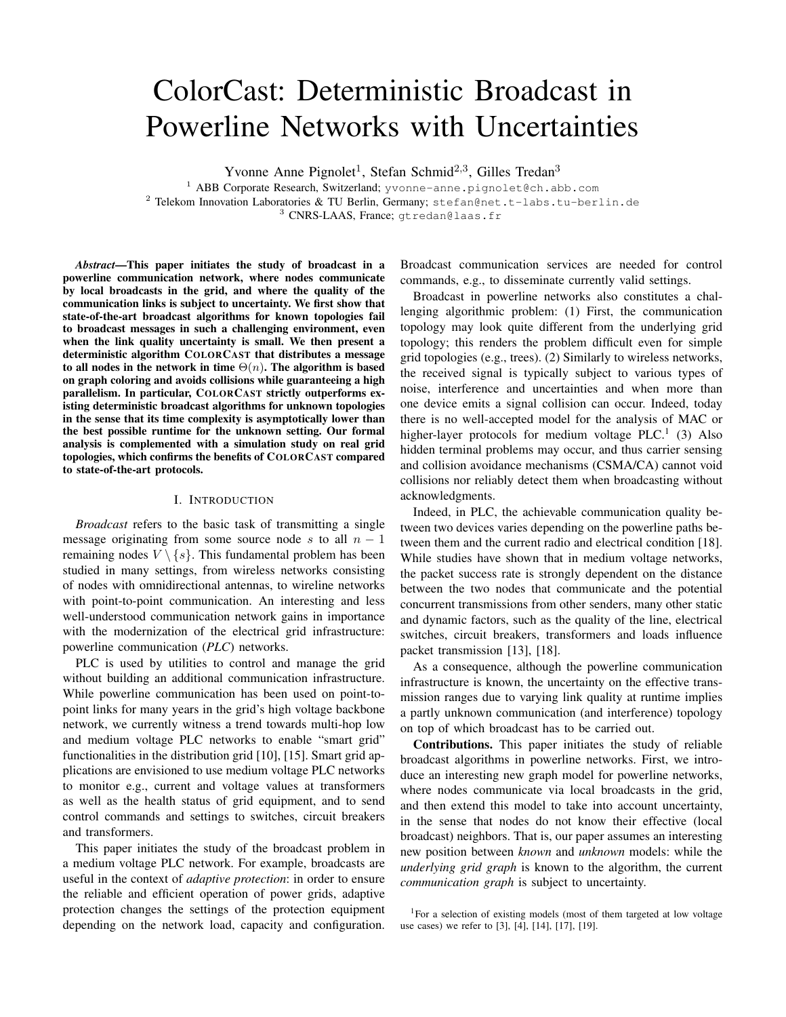# ColorCast: Deterministic Broadcast in Powerline Networks with Uncertainties

Yvonne Anne Pignolet<sup>1</sup>, Stefan Schmid<sup>2,3</sup>, Gilles Tredan<sup>3</sup>

<sup>1</sup> ABB Corporate Research, Switzerland; yvonne-anne.pignolet@ch.abb.com <sup>2</sup> Telekom Innovation Laboratories & TU Berlin, Germany;  $stefan@net.t-labs.tu-berlin.de$ <sup>3</sup> CNRS-LAAS, France; gtredan@laas.fr

*Abstract*—This paper initiates the study of broadcast in a powerline communication network, where nodes communicate by local broadcasts in the grid, and where the quality of the communication links is subject to uncertainty. We first show that state-of-the-art broadcast algorithms for known topologies fail to broadcast messages in such a challenging environment, even when the link quality uncertainty is small. We then present a deterministic algorithm COLORCAST that distributes a message to all nodes in the network in time  $\Theta(n)$ . The algorithm is based on graph coloring and avoids collisions while guaranteeing a high parallelism. In particular, COLORCAST strictly outperforms existing deterministic broadcast algorithms for unknown topologies in the sense that its time complexity is asymptotically lower than the best possible runtime for the unknown setting. Our formal analysis is complemented with a simulation study on real grid topologies, which confirms the benefits of COLORCAST compared to state-of-the-art protocols.

# I. INTRODUCTION

*Broadcast* refers to the basic task of transmitting a single message originating from some source node s to all  $n - 1$ remaining nodes  $V \setminus \{s\}$ . This fundamental problem has been studied in many settings, from wireless networks consisting of nodes with omnidirectional antennas, to wireline networks with point-to-point communication. An interesting and less well-understood communication network gains in importance with the modernization of the electrical grid infrastructure: powerline communication (*PLC*) networks.

PLC is used by utilities to control and manage the grid without building an additional communication infrastructure. While powerline communication has been used on point-topoint links for many years in the grid's high voltage backbone network, we currently witness a trend towards multi-hop low and medium voltage PLC networks to enable "smart grid" functionalities in the distribution grid [10], [15]. Smart grid applications are envisioned to use medium voltage PLC networks to monitor e.g., current and voltage values at transformers as well as the health status of grid equipment, and to send control commands and settings to switches, circuit breakers and transformers.

This paper initiates the study of the broadcast problem in a medium voltage PLC network. For example, broadcasts are useful in the context of *adaptive protection*: in order to ensure the reliable and efficient operation of power grids, adaptive protection changes the settings of the protection equipment depending on the network load, capacity and configuration. Broadcast communication services are needed for control commands, e.g., to disseminate currently valid settings.

Broadcast in powerline networks also constitutes a challenging algorithmic problem: (1) First, the communication topology may look quite different from the underlying grid topology; this renders the problem difficult even for simple grid topologies (e.g., trees). (2) Similarly to wireless networks, the received signal is typically subject to various types of noise, interference and uncertainties and when more than one device emits a signal collision can occur. Indeed, today there is no well-accepted model for the analysis of MAC or higher-layer protocols for medium voltage PLC.<sup>1</sup> (3) Also hidden terminal problems may occur, and thus carrier sensing and collision avoidance mechanisms (CSMA/CA) cannot void collisions nor reliably detect them when broadcasting without acknowledgments.

Indeed, in PLC, the achievable communication quality between two devices varies depending on the powerline paths between them and the current radio and electrical condition [18]. While studies have shown that in medium voltage networks, the packet success rate is strongly dependent on the distance between the two nodes that communicate and the potential concurrent transmissions from other senders, many other static and dynamic factors, such as the quality of the line, electrical switches, circuit breakers, transformers and loads influence packet transmission [13], [18].

As a consequence, although the powerline communication infrastructure is known, the uncertainty on the effective transmission ranges due to varying link quality at runtime implies a partly unknown communication (and interference) topology on top of which broadcast has to be carried out.

Contributions. This paper initiates the study of reliable broadcast algorithms in powerline networks. First, we introduce an interesting new graph model for powerline networks, where nodes communicate via local broadcasts in the grid, and then extend this model to take into account uncertainty, in the sense that nodes do not know their effective (local broadcast) neighbors. That is, our paper assumes an interesting new position between *known* and *unknown* models: while the *underlying grid graph* is known to the algorithm, the current *communication graph* is subject to uncertainty.

<sup>1</sup>For a selection of existing models (most of them targeted at low voltage use cases) we refer to [3], [4], [14], [17], [19].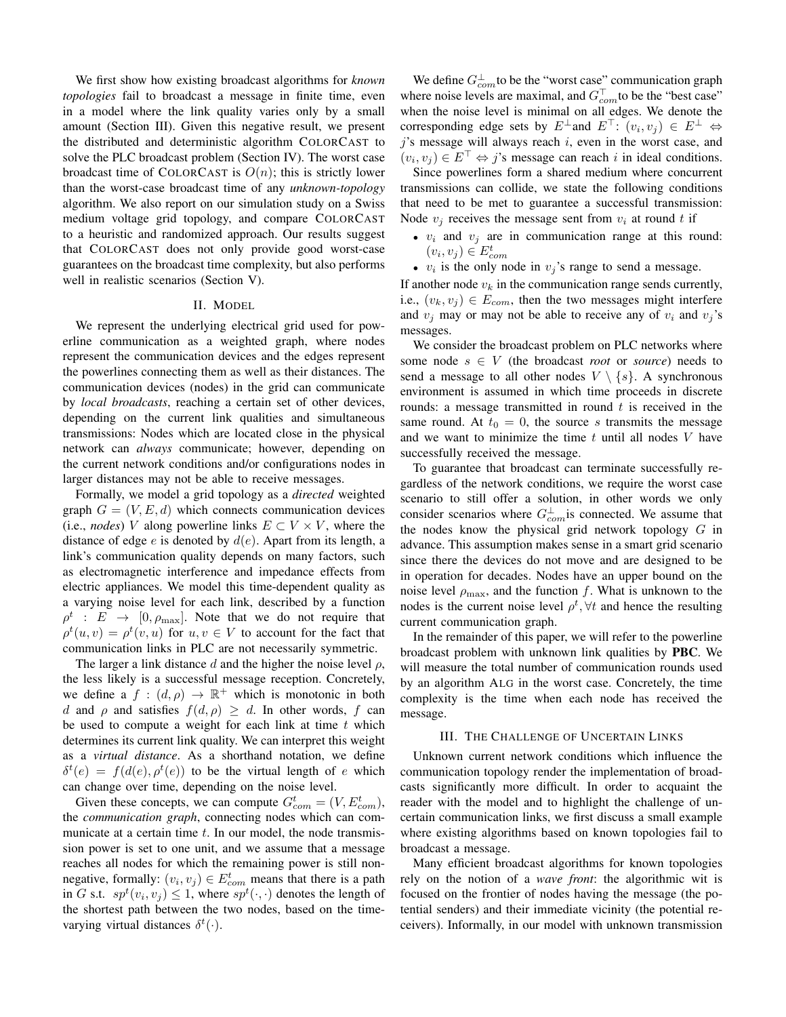We first show how existing broadcast algorithms for *known topologies* fail to broadcast a message in finite time, even in a model where the link quality varies only by a small amount (Section III). Given this negative result, we present the distributed and deterministic algorithm COLORCAST to solve the PLC broadcast problem (Section IV). The worst case broadcast time of COLORCAST is  $O(n)$ ; this is strictly lower than the worst-case broadcast time of any *unknown-topology* algorithm. We also report on our simulation study on a Swiss medium voltage grid topology, and compare COLORCAST to a heuristic and randomized approach. Our results suggest that COLORCAST does not only provide good worst-case guarantees on the broadcast time complexity, but also performs well in realistic scenarios (Section V).

# II. MODEL

We represent the underlying electrical grid used for powerline communication as a weighted graph, where nodes represent the communication devices and the edges represent the powerlines connecting them as well as their distances. The communication devices (nodes) in the grid can communicate by *local broadcasts*, reaching a certain set of other devices, depending on the current link qualities and simultaneous transmissions: Nodes which are located close in the physical network can *always* communicate; however, depending on the current network conditions and/or configurations nodes in larger distances may not be able to receive messages.

Formally, we model a grid topology as a *directed* weighted graph  $G = (V, E, d)$  which connects communication devices (i.e., *nodes*) V along powerline links  $E \subset V \times V$ , where the distance of edge e is denoted by  $d(e)$ . Apart from its length, a link's communication quality depends on many factors, such as electromagnetic interference and impedance effects from electric appliances. We model this time-dependent quality as a varying noise level for each link, described by a function  $\rho^t$  :  $E \rightarrow [0, \rho_{\text{max}}]$ . Note that we do not require that  $\rho^t(u, v) = \rho^t(v, u)$  for  $u, v \in V$  to account for the fact that communication links in PLC are not necessarily symmetric.

The larger a link distance d and the higher the noise level  $\rho$ , the less likely is a successful message reception. Concretely, we define a  $f : (d, \rho) \to \mathbb{R}^+$  which is monotonic in both d and  $\rho$  and satisfies  $f(d, \rho) \geq d$ . In other words, f can be used to compute a weight for each link at time  $t$  which determines its current link quality. We can interpret this weight as a *virtual distance*. As a shorthand notation, we define  $\delta^t(e) = f(d(e), \rho^t(e))$  to be the virtual length of e which can change over time, depending on the noise level.

Given these concepts, we can compute  $G_{com}^t = (V, E_{com}^t)$ , the *communication graph*, connecting nodes which can communicate at a certain time  $t$ . In our model, the node transmission power is set to one unit, and we assume that a message reaches all nodes for which the remaining power is still nonnegative, formally:  $(v_i, v_j) \in E_{com}^t$  means that there is a path in G s.t.  $sp<sup>t</sup>(v<sub>i</sub>, v<sub>j</sub>) \leq 1$ , where  $sp<sup>t</sup>(\cdot, \cdot)$  denotes the length of the shortest path between the two nodes, based on the timevarying virtual distances  $\delta^t(\cdot)$ .

We define  $G_{com}^{\perp}$  to be the "worst case" communication graph where noise levels are maximal, and  $G_{com}^{\top}$  to be the "best case" when the noise level is minimal on all edges. We denote the corresponding edge sets by  $E^{\perp}$  and  $E^{\top}$ :  $(v_i, v_j) \in E^{\perp} \Leftrightarrow$  $j$ 's message will always reach  $i$ , even in the worst case, and  $(v_i, v_j) \in E^\top \Leftrightarrow j$ 's message can reach i in ideal conditions.

Since powerlines form a shared medium where concurrent transmissions can collide, we state the following conditions that need to be met to guarantee a successful transmission: Node  $v_i$  receives the message sent from  $v_i$  at round t if

- $v_i$  and  $v_j$  are in communication range at this round:  $(v_i, v_j) \in E_{com}^t$
- $v_i$  is the only node in  $v_j$ 's range to send a message.

If another node  $v_k$  in the communication range sends currently, i.e.,  $(v_k, v_j) \in E_{com}$ , then the two messages might interfere and  $v_i$  may or may not be able to receive any of  $v_i$  and  $v_j$ 's messages.

We consider the broadcast problem on PLC networks where some node  $s \in V$  (the broadcast *root* or *source*) needs to send a message to all other nodes  $V \setminus \{s\}$ . A synchronous environment is assumed in which time proceeds in discrete rounds: a message transmitted in round  $t$  is received in the same round. At  $t_0 = 0$ , the source s transmits the message and we want to minimize the time  $t$  until all nodes  $V$  have successfully received the message.

To guarantee that broadcast can terminate successfully regardless of the network conditions, we require the worst case scenario to still offer a solution, in other words we only consider scenarios where  $G_{com}^{\perp}$  is connected. We assume that the nodes know the physical grid network topology  $G$  in advance. This assumption makes sense in a smart grid scenario since there the devices do not move and are designed to be in operation for decades. Nodes have an upper bound on the noise level  $\rho_{\text{max}}$ , and the function f. What is unknown to the nodes is the current noise level  $\rho^t$ ,  $\forall t$  and hence the resulting current communication graph.

In the remainder of this paper, we will refer to the powerline broadcast problem with unknown link qualities by PBC. We will measure the total number of communication rounds used by an algorithm ALG in the worst case. Concretely, the time complexity is the time when each node has received the message.

#### III. THE CHALLENGE OF UNCERTAIN LINKS

Unknown current network conditions which influence the communication topology render the implementation of broadcasts significantly more difficult. In order to acquaint the reader with the model and to highlight the challenge of uncertain communication links, we first discuss a small example where existing algorithms based on known topologies fail to broadcast a message.

Many efficient broadcast algorithms for known topologies rely on the notion of a *wave front*: the algorithmic wit is focused on the frontier of nodes having the message (the potential senders) and their immediate vicinity (the potential receivers). Informally, in our model with unknown transmission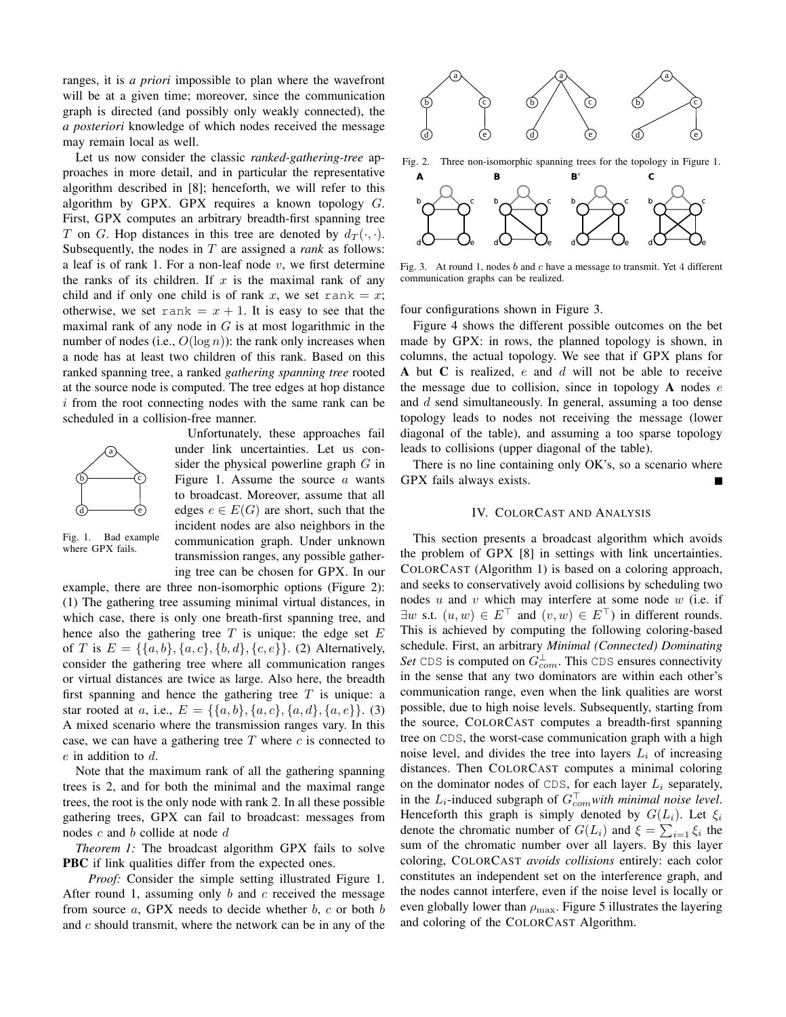ranges, it is *a priori* impossible to plan where the wavefront will be at a given time; moreover, since the communication graph is directed (and possibly only weakly connected), the *a posteriori* knowledge of which nodes received the message may remain local as well.

Let us now consider the classic *ranked-gathering-tree* approaches in more detail, and in particular the representative algorithm described in [8]; henceforth, we will refer to this algorithm by GPX. GPX requires a known topology  $G$ . First, GPX computes an arbitrary breadth-first spanning tree T on G. Hop distances in this tree are denoted by  $d_T(\cdot, \cdot)$ . Subsequently, the nodes in T are assigned a *rank* as follows: a leaf is of rank 1. For a non-leaf node  $v$ , we first determine the ranks of its children. If  $x$  is the maximal rank of any child and if only one child is of rank x, we set rank = x; otherwise, we set rank =  $x + 1$ . It is easy to see that the maximal rank of any node in  $G$  is at most logarithmic in the number of nodes (i.e.,  $O(\log n)$ ): the rank only increases when a node has at least two children of this rank. Based on this ranked spanning tree, a ranked *gathering spanning tree* rooted at the source node is computed. The tree edges at hop distance i from the root connecting nodes with the same rank can be scheduled in a collision-free manner.



Unfortunately, these approaches fail under link uncertainties. Let us consider the physical powerline graph  $G$  in Figure 1. Assume the source  $a$  wants to broadcast. Moreover, assume that all edges  $e \in E(G)$  are short, such that the incident nodes are also neighbors in the communication graph. Under unknown transmission ranges, any possible gathering tree can be chosen for GPX. In our

Fig. 1. Bad example where GPX fails.

example, there are three non-isomorphic options (Figure 2): (1) The gathering tree assuming minimal virtual distances, in which case, there is only one breath-first spanning tree, and hence also the gathering tree  $T$  is unique: the edge set  $E$ of T is  $E = \{\{a, b\}, \{a, c\}, \{b, d\}, \{c, e\}\}\$ . (2) Alternatively, consider the gathering tree where all communication ranges or virtual distances are twice as large. Also here, the breadth first spanning and hence the gathering tree  $T$  is unique: a star rooted at a, i.e.,  $E = \{\{a,b\}, \{a,c\}, \{a,d\}, \{a,e\}\}\$ . (3) A mixed scenario where the transmission ranges vary. In this case, we can have a gathering tree  $T$  where  $c$  is connected to e in addition to d.

Note that the maximum rank of all the gathering spanning trees is 2, and for both the minimal and the maximal range trees, the root is the only node with rank 2. In all these possible gathering trees, GPX can fail to broadcast: messages from nodes  $c$  and  $b$  collide at node  $d$ 

*Theorem 1:* The broadcast algorithm GPX fails to solve **PBC** if link qualities differ from the expected ones.

*Proof:* Consider the simple setting illustrated Figure 1. After round 1, assuming only  $b$  and  $c$  received the message from source  $a$ , GPX needs to decide whether  $b$ ,  $c$  or both  $b$ and c should transmit, where the network can be in any of the



Fig. 2. Three non-isomorphic spanning trees for the topology in Figure 1.



Fig. 3. At round 1, nodes b and c have a message to transmit. Yet 4 different communication graphs can be realized.

four configurations shown in Figure 3.

Figure 4 shows the different possible outcomes on the bet made by GPX: in rows, the planned topology is shown, in columns, the actual topology. We see that if GPX plans for A but C is realized,  $e$  and  $d$  will not be able to receive the message due to collision, since in topology  $A$  nodes  $e$ and d send simultaneously. In general, assuming a too dense topology leads to nodes not receiving the message (lower diagonal of the table), and assuming a too sparse topology leads to collisions (upper diagonal of the table).

There is no line containing only OK's, so a scenario where GPX fails always exists.

# IV. COLORCAST AND ANALYSIS

This section presents a broadcast algorithm which avoids the problem of GPX [8] in settings with link uncertainties. COLORCAST (Algorithm 1) is based on a coloring approach, and seeks to conservatively avoid collisions by scheduling two nodes  $u$  and  $v$  which may interfere at some node  $w$  (i.e. if  $\exists w \text{ s.t. } (u, w) \in E^{\top} \text{ and } (v, w) \in E^{\top}$  in different rounds. This is achieved by computing the following coloring-based schedule. First, an arbitrary *Minimal (Connected) Dominating* Set CDS is computed on  $G_{com}^{\perp}$ . This CDS ensures connectivity in the sense that any two dominators are within each other's communication range, even when the link qualities are worst possible, due to high noise levels. Subsequently, starting from the source, COLORCAST computes a breadth-first spanning tree on CDS, the worst-case communication graph with a high noise level, and divides the tree into layers  $L_i$  of increasing distances. Then COLORCAST computes a minimal coloring on the dominator nodes of CDS, for each layer  $L_i$  separately, in the  $L_i$ -induced subgraph of  $G_{com}^{\top}$ *with minimal noise level.* Henceforth this graph is simply denoted by  $G(L_i)$ . Let  $\xi_i$ denote the chromatic number of  $G(L_i)$  and  $\xi = \sum_{i=1} \xi_i$  the sum of the chromatic number over all layers. By this layer coloring, COLORCAST *avoids collisions* entirely: each color constitutes an independent set on the interference graph, and the nodes cannot interfere, even if the noise level is locally or even globally lower than  $\rho_{\text{max}}$ . Figure 5 illustrates the layering and coloring of the COLORCAST Algorithm.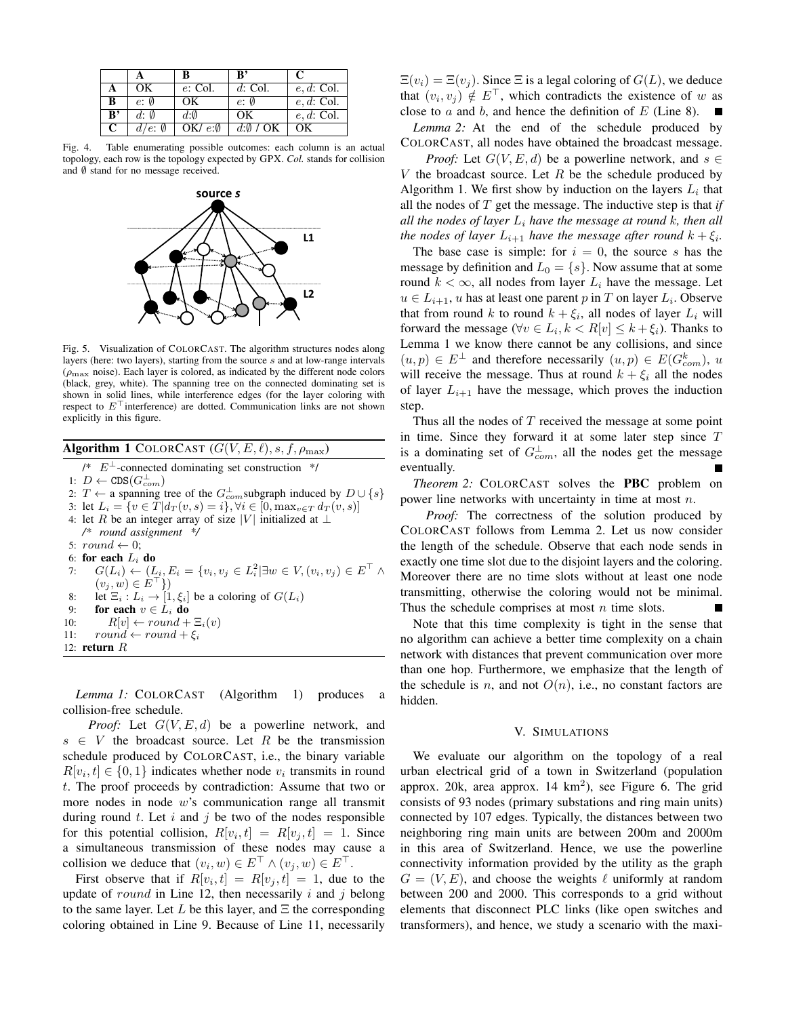|                |                  | B                     | ${\bf R}$          |               |
|----------------|------------------|-----------------------|--------------------|---------------|
|                | OК               | $e:$ Col.             | $d$ : Col.         | $e, d$ : Col. |
| B              | e: Ø             | OK                    | $e: \emptyset$     | $e, d$ : Col. |
| $\mathbf{B}^*$ | $d: \emptyset$   | $d:\emptyset$         | OK                 | $e, d$ : Col. |
| C              | $d/e: \emptyset$ | OK/ $e$ : $\emptyset$ | $d:\emptyset$ / OK | OК            |

Fig. 4. Table enumerating possible outcomes: each column is an actual topology, each row is the topology expected by GPX. *Col.* stands for collision and  $\emptyset$  stand for no message received.



Fig. 5. Visualization of COLORCAST. The algorithm structures nodes along layers (here: two layers), starting from the source s and at low-range intervals  $(\rho_{\rm max}$  noise). Each layer is colored, as indicated by the different node colors (black, grey, white). The spanning tree on the connected dominating set is shown in solid lines, while interference edges (for the layer coloring with respect to  $E^{\dagger}$  interference) are dotted. Communication links are not shown explicitly in this figure.

Algorithm 1 COLORCAST  $(G(V, E, \ell), s, f, \rho_{\max})$ 

- $\ell^*$   $E^{\perp}$ -connected dominating set construction  $\ell$
- 1:  $D \leftarrow \texttt{CDS}(G_{com}^{\perp})$
- 2: *T* ← a spanning tree of the  $G_{com}^{\perp}$ subgraph induced by  $D \cup \{s\}$
- 3: let  $L_i = \{v \in T | d_T(v, s) = i\}, \forall i \in [0, \max_{v \in T} d_T(v, s)]$
- 4: let R be an integer array of size |V| initialized at ⊥

*/\* round assignment \*/*

- 5:  $round \leftarrow 0;$
- 6: for each  $L_i$  do

7:  $G(L_i) \leftarrow (L_i, E_i = \{v_i, v_j \in L_i^2 | \exists w \in V, (v_i, v_j) \in E^{\top} \land$  $(v_j, w) \in E^{\top}$ } 8: let  $\Xi_i : L_i \to [1, \xi_i]$  be a coloring of  $G(L_i)$ 9: for each  $v \in L_i$  do 10:  $R[v] \leftarrow round + \Xi_i(v)$ 11:  $round \leftarrow round + \xi_i$ 12: **return**  $R$ 

*Lemma 1:* COLORCAST (Algorithm 1) produces a collision-free schedule.

*Proof:* Let  $G(V, E, d)$  be a powerline network, and  $s \in V$  the broadcast source. Let R be the transmission schedule produced by COLORCAST, i.e., the binary variable  $R[v_i, t] \in \{0, 1\}$  indicates whether node  $v_i$  transmits in round t. The proof proceeds by contradiction: Assume that two or more nodes in node w's communication range all transmit during round  $t$ . Let  $i$  and  $j$  be two of the nodes responsible for this potential collision,  $R[v_i, t] = R[v_j, t] = 1$ . Since a simultaneous transmission of these nodes may cause a collision we deduce that  $(v_i, w) \in E^\top \wedge (v_j, w) \in E^\top$ .

First observe that if  $R[v_i, t] = R[v_j, t] = 1$ , due to the update of *round* in Line 12, then necessarily i and j belong to the same layer. Let L be this layer, and  $\Xi$  the corresponding coloring obtained in Line 9. Because of Line 11, necessarily  $\Xi(v_i) = \Xi(v_i)$ . Since  $\Xi$  is a legal coloring of  $G(L)$ , we deduce that  $(v_i, v_j) \notin E^\top$ , which contradicts the existence of w as close to  $a$  and  $b$ , and hence the definition of  $E$  (Line 8).

*Lemma 2:* At the end of the schedule produced by COLORCAST, all nodes have obtained the broadcast message.

*Proof:* Let  $G(V, E, d)$  be a powerline network, and  $s \in$ V the broadcast source. Let  $R$  be the schedule produced by Algorithm 1. We first show by induction on the layers  $L_i$  that all the nodes of T get the message. The inductive step is that *if all the nodes of layer*  $L_i$  *have the message at round k, then all the nodes of layer*  $L_{i+1}$  *have the message after round*  $k + \xi_i$ *.* 

The base case is simple: for  $i = 0$ , the source s has the message by definition and  $L_0 = \{s\}$ . Now assume that at some round  $k < \infty$ , all nodes from layer  $L_i$  have the message. Let  $u \in L_{i+1}$ , u has at least one parent p in T on layer  $L_i$ . Observe that from round k to round  $k + \xi_i$ , all nodes of layer  $L_i$  will forward the message ( $\forall v \in L_i, k < R[v] \leq k + \xi_i$ ). Thanks to Lemma 1 we know there cannot be any collisions, and since  $(u, p) \in E^{\perp}$  and therefore necessarily  $(u, p) \in E(G_{com}^k)$ , u will receive the message. Thus at round  $k + \xi_i$  all the nodes of layer  $L_{i+1}$  have the message, which proves the induction step.

Thus all the nodes of  $T$  received the message at some point in time. Since they forward it at some later step since  $T$ is a dominating set of  $G_{com}^{\perp}$ , all the nodes get the message eventually.

*Theorem 2:* COLORCAST solves the **PBC** problem on power line networks with uncertainty in time at most n.

*Proof:* The correctness of the solution produced by COLORCAST follows from Lemma 2. Let us now consider the length of the schedule. Observe that each node sends in exactly one time slot due to the disjoint layers and the coloring. Moreover there are no time slots without at least one node transmitting, otherwise the coloring would not be minimal. Thus the schedule comprises at most  $n$  time slots.

Note that this time complexity is tight in the sense that no algorithm can achieve a better time complexity on a chain network with distances that prevent communication over more than one hop. Furthermore, we emphasize that the length of the schedule is n, and not  $O(n)$ , i.e., no constant factors are hidden.

#### V. SIMULATIONS

We evaluate our algorithm on the topology of a real urban electrical grid of a town in Switzerland (population approx. 20 $k$ , area approx. 14  $km^2$ ), see Figure 6. The grid consists of 93 nodes (primary substations and ring main units) connected by 107 edges. Typically, the distances between two neighboring ring main units are between 200m and 2000m in this area of Switzerland. Hence, we use the powerline connectivity information provided by the utility as the graph  $G = (V, E)$ , and choose the weights  $\ell$  uniformly at random between 200 and 2000. This corresponds to a grid without elements that disconnect PLC links (like open switches and transformers), and hence, we study a scenario with the maxi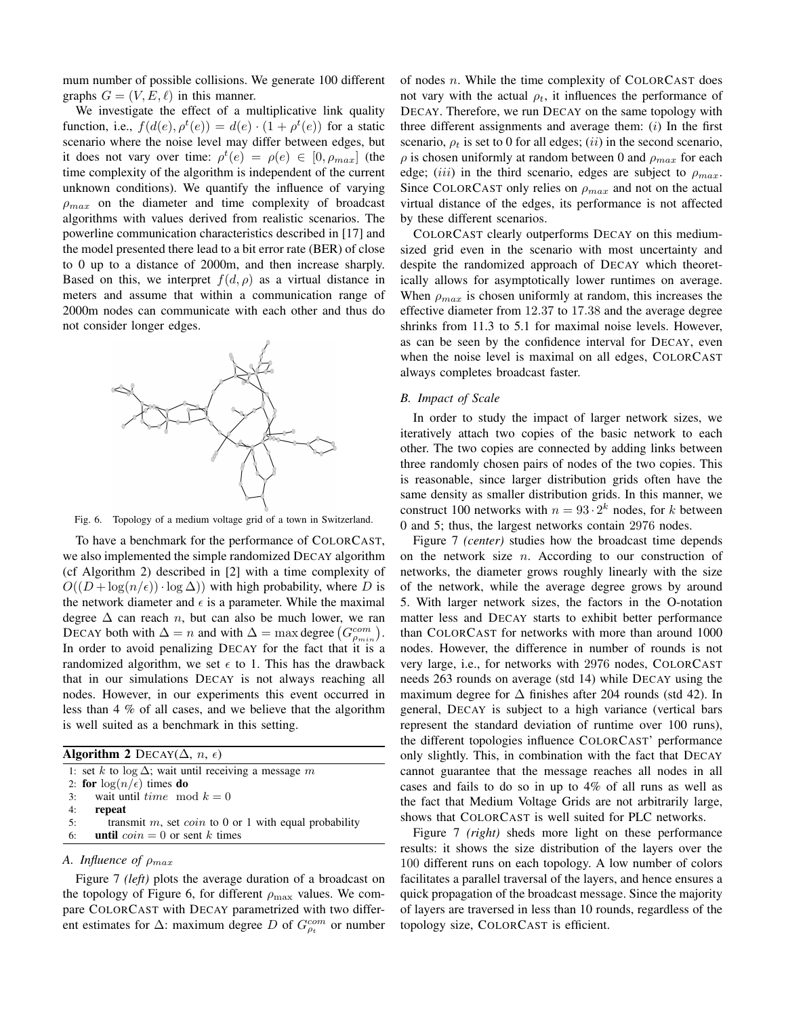mum number of possible collisions. We generate 100 different graphs  $G = (V, E, \ell)$  in this manner.

We investigate the effect of a multiplicative link quality function, i.e.,  $f(d(e), \rho^t(e)) = d(e) \cdot (1 + \rho^t(e))$  for a static scenario where the noise level may differ between edges, but it does not vary over time:  $\rho^t(e) = \rho(e) \in [0, \rho_{max}]$  (the time complexity of the algorithm is independent of the current unknown conditions). We quantify the influence of varying  $\rho_{max}$  on the diameter and time complexity of broadcast algorithms with values derived from realistic scenarios. The powerline communication characteristics described in [17] and the model presented there lead to a bit error rate (BER) of close to 0 up to a distance of 2000m, and then increase sharply. Based on this, we interpret  $f(d, \rho)$  as a virtual distance in meters and assume that within a communication range of 2000m nodes can communicate with each other and thus do not consider longer edges.



Fig. 6. Topology of a medium voltage grid of a town in Switzerland.

To have a benchmark for the performance of COLORCAST, we also implemented the simple randomized DECAY algorithm (cf Algorithm 2) described in [2] with a time complexity of  $O((D + \log(n/\epsilon)) \cdot \log \Delta)$  with high probability, where D is the network diameter and  $\epsilon$  is a parameter. While the maximal degree  $\Delta$  can reach *n*, but can also be much lower, we ran DECAY both with  $\Delta = n$  and with  $\Delta = \max$  degree  $(G_{\rho_{min}}^{com})$ . In order to avoid penalizing DECAY for the fact that it is a randomized algorithm, we set  $\epsilon$  to 1. This has the drawback that in our simulations DECAY is not always reaching all nodes. However, in our experiments this event occurred in less than 4 % of all cases, and we believe that the algorithm is well suited as a benchmark in this setting.

| <b>Algorithm 2</b> DECAY( $\Delta$ , <i>n</i> , $\epsilon$ ) |                                                                 |  |  |
|--------------------------------------------------------------|-----------------------------------------------------------------|--|--|
|                                                              | 1: set k to $\log \Delta$ ; wait until receiving a message m    |  |  |
|                                                              | 2: for $\log(n/\epsilon)$ times do                              |  |  |
| 3:                                                           | wait until <i>time</i> mod $k = 0$                              |  |  |
| 4:                                                           | repeat                                                          |  |  |
| 5:                                                           | transmit $m$ , set <i>coin</i> to 0 or 1 with equal probability |  |  |
| 6:                                                           | <b>until</b> $coin = 0$ or sent k times                         |  |  |

# *A. Influence of* ρmax

Figure 7 *(left)* plots the average duration of a broadcast on the topology of Figure 6, for different  $\rho_{\text{max}}$  values. We compare COLORCAST with DECAY parametrized with two different estimates for  $\Delta$ : maximum degree D of  $G_{\rho_t}^{com}$  or number of nodes  $n$ . While the time complexity of COLORCAST does not vary with the actual  $\rho_t$ , it influences the performance of DECAY. Therefore, we run DECAY on the same topology with three different assignments and average them:  $(i)$  In the first scenario,  $\rho_t$  is set to 0 for all edges; (*ii*) in the second scenario,  $\rho$  is chosen uniformly at random between 0 and  $\rho_{max}$  for each edge; (iii) in the third scenario, edges are subject to  $\rho_{max}$ . Since COLORCAST only relies on  $\rho_{max}$  and not on the actual virtual distance of the edges, its performance is not affected by these different scenarios.

COLORCAST clearly outperforms DECAY on this mediumsized grid even in the scenario with most uncertainty and despite the randomized approach of DECAY which theoretically allows for asymptotically lower runtimes on average. When  $\rho_{max}$  is chosen uniformly at random, this increases the effective diameter from 12.37 to 17.38 and the average degree shrinks from 11.3 to 5.1 for maximal noise levels. However, as can be seen by the confidence interval for DECAY, even when the noise level is maximal on all edges, COLORCAST always completes broadcast faster.

# *B. Impact of Scale*

In order to study the impact of larger network sizes, we iteratively attach two copies of the basic network to each other. The two copies are connected by adding links between three randomly chosen pairs of nodes of the two copies. This is reasonable, since larger distribution grids often have the same density as smaller distribution grids. In this manner, we construct 100 networks with  $n = 93 \cdot 2^k$  nodes, for k between 0 and 5; thus, the largest networks contain 2976 nodes.

Figure 7 *(center)* studies how the broadcast time depends on the network size  $n$ . According to our construction of networks, the diameter grows roughly linearly with the size of the network, while the average degree grows by around 5. With larger network sizes, the factors in the O-notation matter less and DECAY starts to exhibit better performance than COLORCAST for networks with more than around 1000 nodes. However, the difference in number of rounds is not very large, i.e., for networks with 2976 nodes, COLORCAST needs 263 rounds on average (std 14) while DECAY using the maximum degree for  $\Delta$  finishes after 204 rounds (std 42). In general, DECAY is subject to a high variance (vertical bars represent the standard deviation of runtime over 100 runs), the different topologies influence COLORCAST' performance only slightly. This, in combination with the fact that DECAY cannot guarantee that the message reaches all nodes in all cases and fails to do so in up to 4% of all runs as well as the fact that Medium Voltage Grids are not arbitrarily large, shows that COLORCAST is well suited for PLC networks.

Figure 7 *(right)* sheds more light on these performance results: it shows the size distribution of the layers over the 100 different runs on each topology. A low number of colors facilitates a parallel traversal of the layers, and hence ensures a quick propagation of the broadcast message. Since the majority of layers are traversed in less than 10 rounds, regardless of the topology size, COLORCAST is efficient.